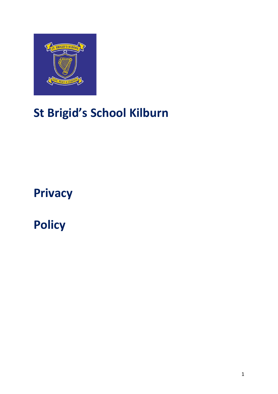

# **St Brigid's School Kilburn**

**Privacy** 

**Policy**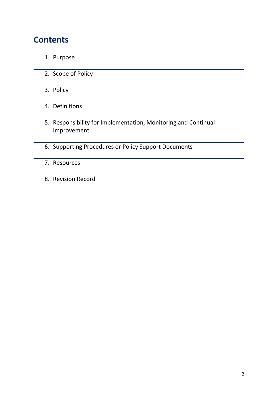# **Contents**

- 1. Purpose
- 2. Scope of Policy
- 3. Policy
- 4. Definitions
- 5. Responsibility for Implementation, Monitoring and Continual Improvement
- 6. Supporting Procedures or Policy Support Documents
- 7. Resources
- 8. Revision Record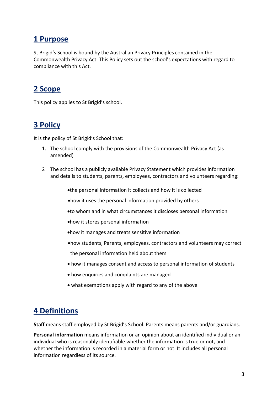#### **1 Purpose**

St Brigid's School is bound by the Australian Privacy Principles contained in the Commonwealth Privacy Act. This Policy sets out the school's expectations with regard to compliance with this Act.

## **2 Scope**

This policy applies to St Brigid's school.

# **3 Policy**

It is the policy of St Brigid's School that:

- 1. The school comply with the provisions of the Commonwealth Privacy Act (as amended)
- 2 The school has a publicly available Privacy Statement which provides information and details to students, parents, employees, contractors and volunteers regarding:
	- the personal information it collects and how it is collected
	- how it uses the personal information provided by others
	- to whom and in what circumstances it discloses personal information
	- how it stores personal information
	- how it manages and treats sensitive information
	- how students, Parents, employees, contractors and volunteers may correct
	- the personal information held about them
	- how it manages consent and access to personal information of students
	- how enquiries and complaints are managed
	- what exemptions apply with regard to any of the above

# **4 Definitions**

**Staff** means staff employed by St Brigid's School. Parents means parents and/or guardians.

**Personal information** means information or an opinion about an identified individual or an individual who is reasonably identifiable whether the information is true or not, and whether the information is recorded in a material form or not. It includes all personal information regardless of its source.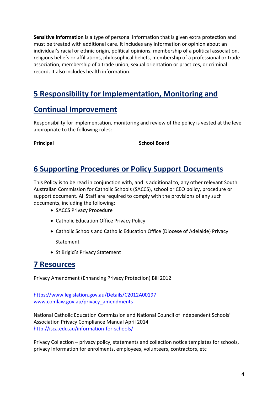**Sensitive information** is a type of personal information that is given extra protection and must be treated with additional care. It includes any information or opinion about an individual's racial or ethnic origin, political opinions, membership of a political association, religious beliefs or affiliations, philosophical beliefs, membership of a professional or trade association, membership of a trade union, sexual orientation or practices, or criminal record. It also includes health information.

# **5 Responsibility for Implementation, Monitoring and**

### **Continual Improvement**

Responsibility for implementation, monitoring and review of the policy is vested at the level appropriate to the following roles:

**Principal School Board** 

# **6 Supporting Procedures or Policy Support Documents**

This Policy is to be read in conjunction with, and is additional to, any other relevant South Australian Commission for Catholic Schools (SACCS), school or CEO policy, procedure or support document. All Staff are required to comply with the provisions of any such documents, including the following:

- SACCS Privacy Procedure
- Catholic Education Office Privacy Policy
- Catholic Schools and Catholic Education Office (Diocese of Adelaide) Privacy Statement
- St Brigid's Privacy Statement

#### **7 Resources**

Privacy Amendment (Enhancing Privacy Protection) Bill 2012

#### https://www.legislation.gov.au/Details/C2012A00197 www.comlaw.gov.au/privacy\_amendments

National Catholic Education Commission and National Council of Independent Schools' Association Privacy Compliance Manual April 2014 http://isca.edu.au/information-for-schools/

Privacy Collection – privacy policy, statements and collection notice templates for schools, privacy information for enrolments, employees, volunteers, contractors, etc